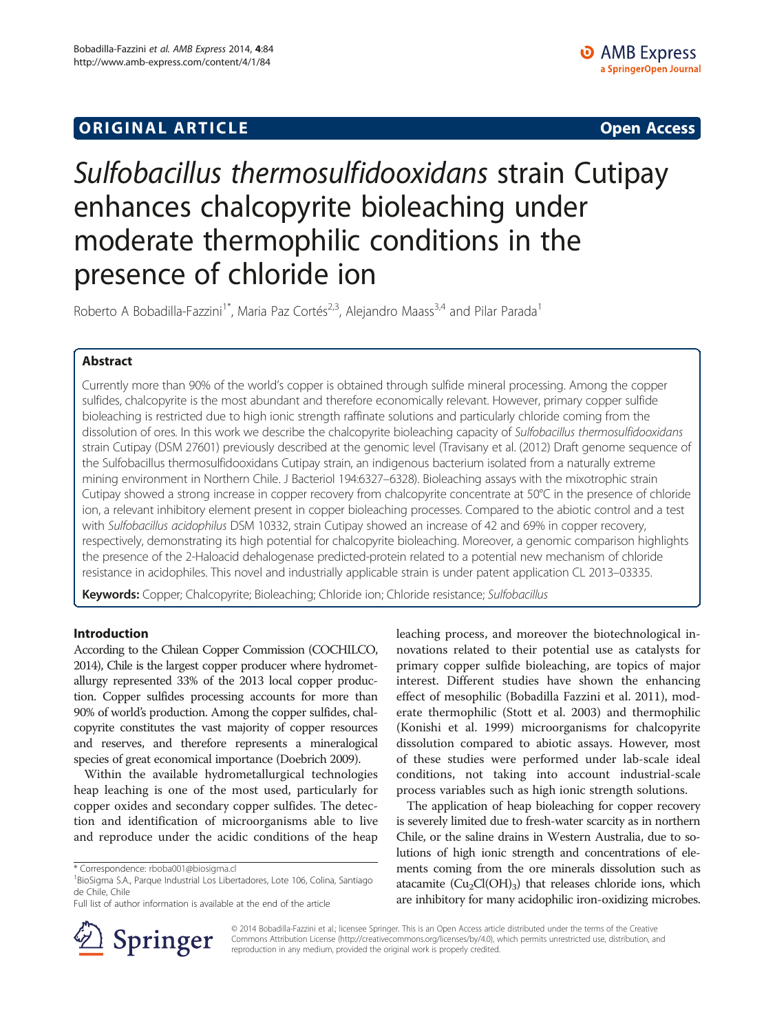## **ORIGINAL ARTICLE CONSERVANCE IN A LOCAL CONSERVANCE IN A LOCAL CONSERVANCE IN A LOCAL CONSERVANCE IN A LOCAL CONSERVANCE IN A LOCAL CONSERVANCE IN A LOCAL CONSERVANCE IN A LOCAL CONSERVANCE IN A LOCAL CONSERVANCE IN A L**

# Sulfobacillus thermosulfidooxidans strain Cutipay enhances chalcopyrite bioleaching under moderate thermophilic conditions in the presence of chloride ion

Roberto A Bobadilla-Fazzini<sup>1\*</sup>, Maria Paz Cortés<sup>2,3</sup>, Alejandro Maass<sup>3,4</sup> and Pilar Parada<sup>1</sup>

## Abstract

Currently more than 90% of the world's copper is obtained through sulfide mineral processing. Among the copper sulfides, chalcopyrite is the most abundant and therefore economically relevant. However, primary copper sulfide bioleaching is restricted due to high ionic strength raffinate solutions and particularly chloride coming from the dissolution of ores. In this work we describe the chalcopyrite bioleaching capacity of Sulfobacillus thermosulfidooxidans strain Cutipay (DSM 27601) previously described at the genomic level (Travisany et al. (2012) Draft genome sequence of the Sulfobacillus thermosulfidooxidans Cutipay strain, an indigenous bacterium isolated from a naturally extreme mining environment in Northern Chile. J Bacteriol 194:6327–6328). Bioleaching assays with the mixotrophic strain Cutipay showed a strong increase in copper recovery from chalcopyrite concentrate at 50°C in the presence of chloride ion, a relevant inhibitory element present in copper bioleaching processes. Compared to the abiotic control and a test with Sulfobacillus acidophilus DSM 10332, strain Cutipay showed an increase of 42 and 69% in copper recovery, respectively, demonstrating its high potential for chalcopyrite bioleaching. Moreover, a genomic comparison highlights the presence of the 2-Haloacid dehalogenase predicted-protein related to a potential new mechanism of chloride resistance in acidophiles. This novel and industrially applicable strain is under patent application CL 2013–03335.

Keywords: Copper; Chalcopyrite; Bioleaching; Chloride ion; Chloride resistance; Sulfobacillus

## Introduction

According to the Chilean Copper Commission (COCHILCO, [2014\)](#page-4-0), Chile is the largest copper producer where hydrometallurgy represented 33% of the 2013 local copper production. Copper sulfides processing accounts for more than 90% of world's production. Among the copper sulfides, chalcopyrite constitutes the vast majority of copper resources and reserves, and therefore represents a mineralogical species of great economical importance (Doebrich [2009](#page-4-0)).

Within the available hydrometallurgical technologies heap leaching is one of the most used, particularly for copper oxides and secondary copper sulfides. The detection and identification of microorganisms able to live and reproduce under the acidic conditions of the heap

Full list of author information is available at the end of the article



leaching process, and moreover the biotechnological innovations related to their potential use as catalysts for primary copper sulfide bioleaching, are topics of major interest. Different studies have shown the enhancing effect of mesophilic (Bobadilla Fazzini et al. [2011\)](#page-4-0), moderate thermophilic (Stott et al. [2003\)](#page-4-0) and thermophilic (Konishi et al. [1999](#page-4-0)) microorganisms for chalcopyrite dissolution compared to abiotic assays. However, most of these studies were performed under lab-scale ideal conditions, not taking into account industrial-scale process variables such as high ionic strength solutions.

The application of heap bioleaching for copper recovery is severely limited due to fresh-water scarcity as in northern Chile, or the saline drains in Western Australia, due to solutions of high ionic strength and concentrations of elements coming from the ore minerals dissolution such as atacamite  $(Cu_2Cl(OH)_3)$  that releases chloride ions, which are inhibitory for many acidophilic iron-oxidizing microbes.

© 2014 Bobadilla-Fazzini et al.; licensee Springer. This is an Open Access article distributed under the terms of the Creative Commons Attribution License (<http://creativecommons.org/licenses/by/4.0>), which permits unrestricted use, distribution, and reproduction in any medium, provided the original work is properly credited.

<sup>\*</sup> Correspondence: [rboba001@biosigma.cl](mailto:rboba001@biosigma.cl) <sup>1</sup>

BioSigma S.A., Parque Industrial Los Libertadores, Lote 106, Colina, Santiago de Chile, Chile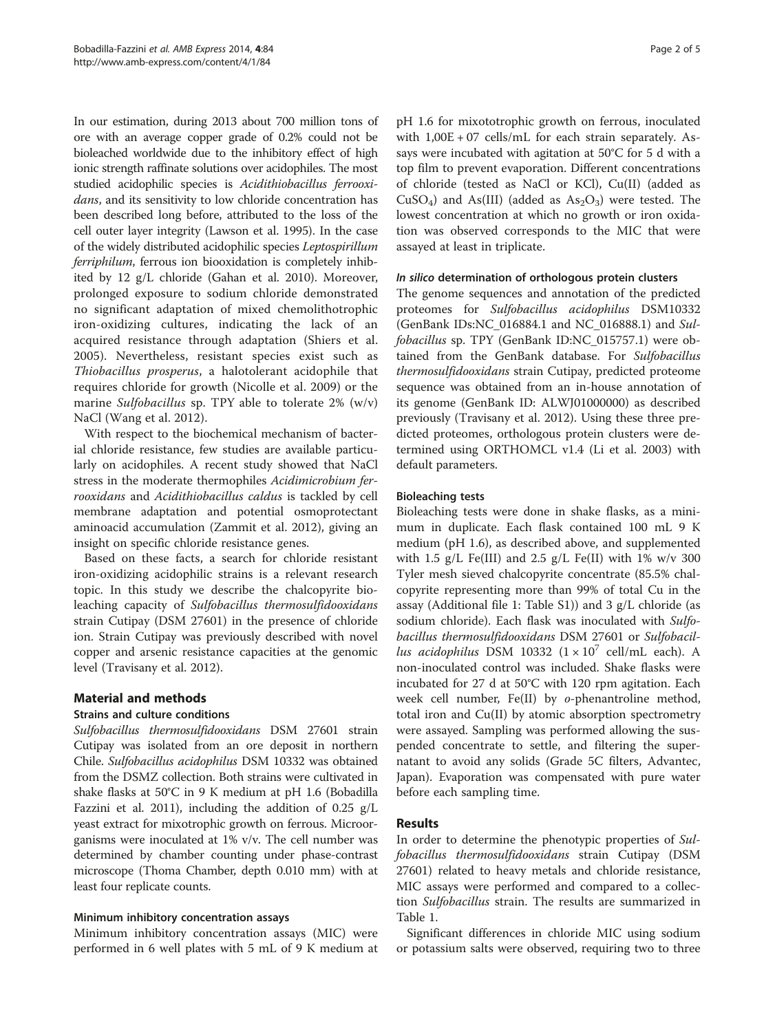In our estimation, during 2013 about 700 million tons of ore with an average copper grade of 0.2% could not be bioleached worldwide due to the inhibitory effect of high ionic strength raffinate solutions over acidophiles. The most studied acidophilic species is Acidithiobacillus ferrooxidans, and its sensitivity to low chloride concentration has been described long before, attributed to the loss of the cell outer layer integrity (Lawson et al. [1995](#page-4-0)). In the case of the widely distributed acidophilic species Leptospirillum ferriphilum, ferrous ion biooxidation is completely inhibited by 12 g/L chloride (Gahan et al. [2010\)](#page-4-0). Moreover, prolonged exposure to sodium chloride demonstrated no significant adaptation of mixed chemolithotrophic iron-oxidizing cultures, indicating the lack of an acquired resistance through adaptation (Shiers et al. [2005\)](#page-4-0). Nevertheless, resistant species exist such as Thiobacillus prosperus, a halotolerant acidophile that requires chloride for growth (Nicolle et al. [2009\)](#page-4-0) or the marine Sulfobacillus sp. TPY able to tolerate 2% (w/v) NaCl (Wang et al. [2012](#page-4-0)).

With respect to the biochemical mechanism of bacterial chloride resistance, few studies are available particularly on acidophiles. A recent study showed that NaCl stress in the moderate thermophiles Acidimicrobium ferrooxidans and Acidithiobacillus caldus is tackled by cell membrane adaptation and potential osmoprotectant aminoacid accumulation (Zammit et al. [2012\)](#page-4-0), giving an insight on specific chloride resistance genes.

Based on these facts, a search for chloride resistant iron-oxidizing acidophilic strains is a relevant research topic. In this study we describe the chalcopyrite bioleaching capacity of Sulfobacillus thermosulfidooxidans strain Cutipay (DSM 27601) in the presence of chloride ion. Strain Cutipay was previously described with novel copper and arsenic resistance capacities at the genomic level (Travisany et al. [2012](#page-4-0)).

## Material and methods

## Strains and culture conditions

Sulfobacillus thermosulfidooxidans DSM 27601 strain Cutipay was isolated from an ore deposit in northern Chile. Sulfobacillus acidophilus DSM 10332 was obtained from the DSMZ collection. Both strains were cultivated in shake flasks at 50°C in 9 K medium at pH 1.6 (Bobadilla Fazzini et al. [2011\)](#page-4-0), including the addition of  $0.25$  g/L yeast extract for mixotrophic growth on ferrous. Microorganisms were inoculated at 1% v/v. The cell number was determined by chamber counting under phase-contrast microscope (Thoma Chamber, depth 0.010 mm) with at least four replicate counts.

## Minimum inhibitory concentration assays

Minimum inhibitory concentration assays (MIC) were performed in 6 well plates with 5 mL of 9 K medium at

pH 1.6 for mixototrophic growth on ferrous, inoculated with 1,00E + 07 cells/mL for each strain separately. Assays were incubated with agitation at 50°C for 5 d with a top film to prevent evaporation. Different concentrations of chloride (tested as NaCl or KCl), Cu(II) (added as CuSO<sub>4</sub>) and As(III) (added as  $As<sub>2</sub>O<sub>3</sub>$ ) were tested. The lowest concentration at which no growth or iron oxidation was observed corresponds to the MIC that were assayed at least in triplicate.

## In silico determination of orthologous protein clusters

The genome sequences and annotation of the predicted proteomes for Sulfobacillus acidophilus DSM10332 (GenBank IDs:NC\_016884.1 and NC\_016888.1) and Sulfobacillus sp. TPY (GenBank ID:NC\_015757.1) were obtained from the GenBank database. For Sulfobacillus thermosulfidooxidans strain Cutipay, predicted proteome sequence was obtained from an in-house annotation of its genome (GenBank ID: ALWJ01000000) as described previously (Travisany et al. [2012](#page-4-0)). Using these three predicted proteomes, orthologous protein clusters were determined using ORTHOMCL v1.4 (Li et al. [2003](#page-4-0)) with default parameters.

## Bioleaching tests

Bioleaching tests were done in shake flasks, as a minimum in duplicate. Each flask contained 100 mL 9 K medium (pH 1.6), as described above, and supplemented with 1.5  $g/L$  Fe(III) and 2.5  $g/L$  Fe(II) with 1% w/v 300 Tyler mesh sieved chalcopyrite concentrate (85.5% chalcopyrite representing more than 99% of total Cu in the assay (Additional file [1](#page-3-0): Table S1)) and 3 g/L chloride (as sodium chloride). Each flask was inoculated with Sulfobacillus thermosulfidooxidans DSM 27601 or Sulfobacillus acidophilus DSM 10332  $(1 \times 10^7 \text{ cell/mL each})$ . A non-inoculated control was included. Shake flasks were incubated for 27 d at 50°C with 120 rpm agitation. Each week cell number, Fe(II) by o-phenantroline method, total iron and Cu(II) by atomic absorption spectrometry were assayed. Sampling was performed allowing the suspended concentrate to settle, and filtering the supernatant to avoid any solids (Grade 5C filters, Advantec, Japan). Evaporation was compensated with pure water before each sampling time.

## Results

In order to determine the phenotypic properties of Sulfobacillus thermosulfidooxidans strain Cutipay (DSM 27601) related to heavy metals and chloride resistance, MIC assays were performed and compared to a collection Sulfobacillus strain. The results are summarized in Table [1.](#page-2-0)

Significant differences in chloride MIC using sodium or potassium salts were observed, requiring two to three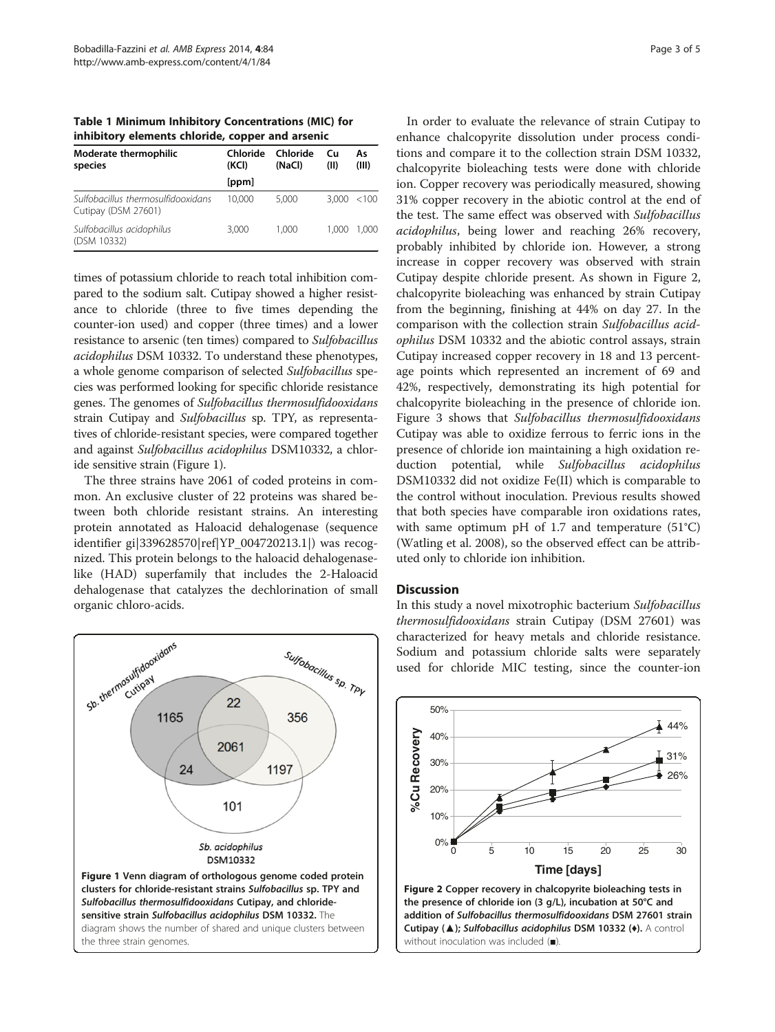<span id="page-2-0"></span>Table 1 Minimum Inhibitory Concentrations (MIC) for inhibitory elements chloride, copper and arsenic

| Moderate thermophilic<br>species                          | Chloride<br>(KCI) | Chloride<br>(NaCl) | Cи<br>(II) | As<br>(III) |
|-----------------------------------------------------------|-------------------|--------------------|------------|-------------|
|                                                           | [ppm]             |                    |            |             |
| Sulfobacillus thermosulfidooxidans<br>Cutipay (DSM 27601) | 10.000            | 5.000              |            | 3,000 < 100 |
| Sulfobacillus acidophilus<br>(DSM 10332)                  | 3.000             | 1.000              | 1.000      | 1.000       |

times of potassium chloride to reach total inhibition compared to the sodium salt. Cutipay showed a higher resistance to chloride (three to five times depending the counter-ion used) and copper (three times) and a lower resistance to arsenic (ten times) compared to Sulfobacillus acidophilus DSM 10332. To understand these phenotypes, a whole genome comparison of selected Sulfobacillus species was performed looking for specific chloride resistance genes. The genomes of Sulfobacillus thermosulfidooxidans strain Cutipay and Sulfobacillus sp. TPY, as representatives of chloride-resistant species, were compared together and against Sulfobacillus acidophilus DSM10332, a chloride sensitive strain (Figure 1).

The three strains have 2061 of coded proteins in common. An exclusive cluster of 22 proteins was shared between both chloride resistant strains. An interesting protein annotated as Haloacid dehalogenase (sequence identifier gi|339628570|ref|YP\_004720213.1|) was recognized. This protein belongs to the haloacid dehalogenaselike (HAD) superfamily that includes the 2-Haloacid dehalogenase that catalyzes the dechlorination of small organic chloro-acids.



In order to evaluate the relevance of strain Cutipay to enhance chalcopyrite dissolution under process conditions and compare it to the collection strain DSM 10332, chalcopyrite bioleaching tests were done with chloride ion. Copper recovery was periodically measured, showing 31% copper recovery in the abiotic control at the end of the test. The same effect was observed with Sulfobacillus acidophilus, being lower and reaching 26% recovery, probably inhibited by chloride ion. However, a strong increase in copper recovery was observed with strain Cutipay despite chloride present. As shown in Figure 2, chalcopyrite bioleaching was enhanced by strain Cutipay from the beginning, finishing at 44% on day 27. In the comparison with the collection strain Sulfobacillus acidophilus DSM 10332 and the abiotic control assays, strain Cutipay increased copper recovery in 18 and 13 percentage points which represented an increment of 69 and 42%, respectively, demonstrating its high potential for chalcopyrite bioleaching in the presence of chloride ion. Figure [3](#page-3-0) shows that Sulfobacillus thermosulfidooxidans Cutipay was able to oxidize ferrous to ferric ions in the presence of chloride ion maintaining a high oxidation reduction potential, while Sulfobacillus acidophilus DSM10332 did not oxidize Fe(II) which is comparable to the control without inoculation. Previous results showed that both species have comparable iron oxidations rates, with same optimum pH of 1.7 and temperature (51°C) (Watling et al. [2008\)](#page-4-0), so the observed effect can be attributed only to chloride ion inhibition.

#### **Discussion**

In this study a novel mixotrophic bacterium Sulfobacillus thermosulfidooxidans strain Cutipay (DSM 27601) was characterized for heavy metals and chloride resistance. Sodium and potassium chloride salts were separately used for chloride MIC testing, since the counter-ion



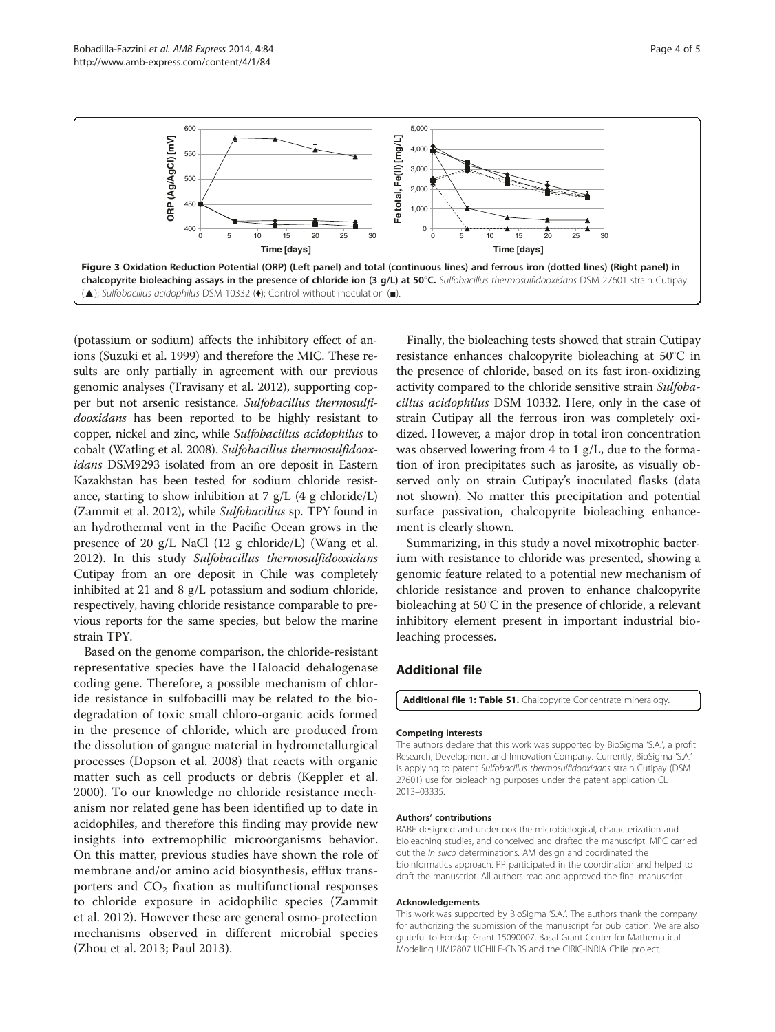<span id="page-3-0"></span>

(potassium or sodium) affects the inhibitory effect of anions (Suzuki et al. [1999](#page-4-0)) and therefore the MIC. These results are only partially in agreement with our previous genomic analyses (Travisany et al. [2012](#page-4-0)), supporting copper but not arsenic resistance. Sulfobacillus thermosulfidooxidans has been reported to be highly resistant to copper, nickel and zinc, while Sulfobacillus acidophilus to cobalt (Watling et al. [2008](#page-4-0)). Sulfobacillus thermosulfidooxidans DSM9293 isolated from an ore deposit in Eastern Kazakhstan has been tested for sodium chloride resistance, starting to show inhibition at 7 g/L (4 g chloride/L) (Zammit et al. [2012](#page-4-0)), while Sulfobacillus sp. TPY found in an hydrothermal vent in the Pacific Ocean grows in the presence of 20 g/L NaCl (12 g chloride/L) (Wang et al. [2012\)](#page-4-0). In this study Sulfobacillus thermosulfidooxidans Cutipay from an ore deposit in Chile was completely inhibited at 21 and 8 g/L potassium and sodium chloride, respectively, having chloride resistance comparable to previous reports for the same species, but below the marine strain TPY.

Based on the genome comparison, the chloride-resistant representative species have the Haloacid dehalogenase coding gene. Therefore, a possible mechanism of chloride resistance in sulfobacilli may be related to the biodegradation of toxic small chloro-organic acids formed in the presence of chloride, which are produced from the dissolution of gangue material in hydrometallurgical processes (Dopson et al. [2008\)](#page-4-0) that reacts with organic matter such as cell products or debris (Keppler et al. [2000\)](#page-4-0). To our knowledge no chloride resistance mechanism nor related gene has been identified up to date in acidophiles, and therefore this finding may provide new insights into extremophilic microorganisms behavior. On this matter, previous studies have shown the role of membrane and/or amino acid biosynthesis, efflux transporters and  $CO<sub>2</sub>$  fixation as multifunctional responses to chloride exposure in acidophilic species (Zammit et al. [2012\)](#page-4-0). However these are general osmo-protection mechanisms observed in different microbial species (Zhou et al. [2013](#page-4-0); Paul [2013](#page-4-0)).

Finally, the bioleaching tests showed that strain Cutipay resistance enhances chalcopyrite bioleaching at 50°C in the presence of chloride, based on its fast iron-oxidizing activity compared to the chloride sensitive strain Sulfobacillus acidophilus DSM 10332. Here, only in the case of strain Cutipay all the ferrous iron was completely oxidized. However, a major drop in total iron concentration was observed lowering from  $4$  to  $1$  g/L, due to the formation of iron precipitates such as jarosite, as visually observed only on strain Cutipay's inoculated flasks (data not shown). No matter this precipitation and potential surface passivation, chalcopyrite bioleaching enhancement is clearly shown.

Summarizing, in this study a novel mixotrophic bacterium with resistance to chloride was presented, showing a genomic feature related to a potential new mechanism of chloride resistance and proven to enhance chalcopyrite bioleaching at 50°C in the presence of chloride, a relevant inhibitory element present in important industrial bioleaching processes.

## Additional file

[Additional file 1: Table S1.](http://www.amb-express.com/content/supplementary/s13568-014-0084-1-s1.docx) Chalcopyrite Concentrate mineralogy

#### Competing interests

The authors declare that this work was supported by BioSigma 'S.A.', a profit Research, Development and Innovation Company. Currently, BioSigma 'S.A.' is applying to patent Sulfobacillus thermosulfidooxidans strain Cutipay (DSM 27601) use for bioleaching purposes under the patent application CL 2013–03335.

#### Authors' contributions

RABF designed and undertook the microbiological, characterization and bioleaching studies, and conceived and drafted the manuscript. MPC carried out the In silico determinations. AM design and coordinated the bioinformatics approach. PP participated in the coordination and helped to draft the manuscript. All authors read and approved the final manuscript.

#### Acknowledgements

This work was supported by BioSigma 'S.A.'. The authors thank the company for authorizing the submission of the manuscript for publication. We are also grateful to Fondap Grant 15090007, Basal Grant Center for Mathematical Modeling UMI2807 UCHILE-CNRS and the CIRIC-INRIA Chile project.